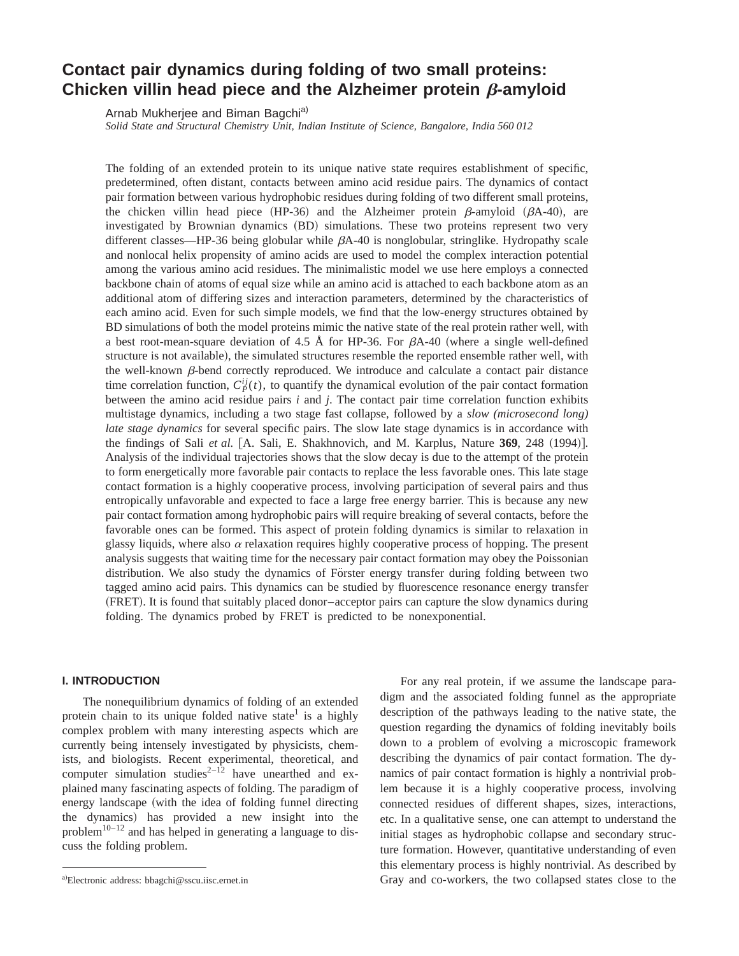# **Contact pair dynamics during folding of two small proteins: Chicken villin head piece and the Alzheimer protein** b**-amyloid**

Arnab Mukherjee and Biman Bagchi<sup>a)</sup>

*Solid State and Structural Chemistry Unit, Indian Institute of Science, Bangalore, India 560 012*

The folding of an extended protein to its unique native state requires establishment of specific, predetermined, often distant, contacts between amino acid residue pairs. The dynamics of contact pair formation between various hydrophobic residues during folding of two different small proteins, the chicken villin head piece (HP-36) and the Alzheimer protein  $\beta$ -amyloid ( $\beta$ A-40), are investigated by Brownian dynamics (BD) simulations. These two proteins represent two very different classes—HP-36 being globular while  $\beta$ A-40 is nonglobular, stringlike. Hydropathy scale and nonlocal helix propensity of amino acids are used to model the complex interaction potential among the various amino acid residues. The minimalistic model we use here employs a connected backbone chain of atoms of equal size while an amino acid is attached to each backbone atom as an additional atom of differing sizes and interaction parameters, determined by the characteristics of each amino acid. Even for such simple models, we find that the low-energy structures obtained by BD simulations of both the model proteins mimic the native state of the real protein rather well, with a best root-mean-square deviation of 4.5 Å for HP-36. For  $\beta$ A-40 (where a single well-defined structure is not available), the simulated structures resemble the reported ensemble rather well, with the well-known  $\beta$ -bend correctly reproduced. We introduce and calculate a contact pair distance time correlation function,  $C_P^{ij}(t)$ , to quantify the dynamical evolution of the pair contact formation between the amino acid residue pairs *i* and *j*. The contact pair time correlation function exhibits multistage dynamics, including a two stage fast collapse, followed by a *slow (microsecond long) late stage dynamics* for several specific pairs. The slow late stage dynamics is in accordance with the findings of Sali et al. [A. Sali, E. Shakhnovich, and M. Karplus, Nature 369, 248 (1994)]. Analysis of the individual trajectories shows that the slow decay is due to the attempt of the protein to form energetically more favorable pair contacts to replace the less favorable ones. This late stage contact formation is a highly cooperative process, involving participation of several pairs and thus entropically unfavorable and expected to face a large free energy barrier. This is because any new pair contact formation among hydrophobic pairs will require breaking of several contacts, before the favorable ones can be formed. This aspect of protein folding dynamics is similar to relaxation in glassy liquids, where also  $\alpha$  relaxation requires highly cooperative process of hopping. The present analysis suggests that waiting time for the necessary pair contact formation may obey the Poissonian distribution. We also study the dynamics of Förster energy transfer during folding between two tagged amino acid pairs. This dynamics can be studied by fluorescence resonance energy transfer ~FRET!. It is found that suitably placed donor–acceptor pairs can capture the slow dynamics during folding. The dynamics probed by FRET is predicted to be nonexponential.

## **I. INTRODUCTION**

The nonequilibrium dynamics of folding of an extended protein chain to its unique folded native state<sup>1</sup> is a highly complex problem with many interesting aspects which are currently being intensely investigated by physicists, chemists, and biologists. Recent experimental, theoretical, and computer simulation studies<sup>2–12</sup> have unearthed and explained many fascinating aspects of folding. The paradigm of energy landscape (with the idea of folding funnel directing the dynamics) has provided a new insight into the problem $10-12$  and has helped in generating a language to discuss the folding problem.

For any real protein, if we assume the landscape paradigm and the associated folding funnel as the appropriate description of the pathways leading to the native state, the question regarding the dynamics of folding inevitably boils down to a problem of evolving a microscopic framework describing the dynamics of pair contact formation. The dynamics of pair contact formation is highly a nontrivial problem because it is a highly cooperative process, involving connected residues of different shapes, sizes, interactions, etc. In a qualitative sense, one can attempt to understand the initial stages as hydrophobic collapse and secondary structure formation. However, quantitative understanding of even this elementary process is highly nontrivial. As described by Gray and co-workers, the two collapsed states close to the

Electronic address: bbagchi@sscu.iisc.ernet.in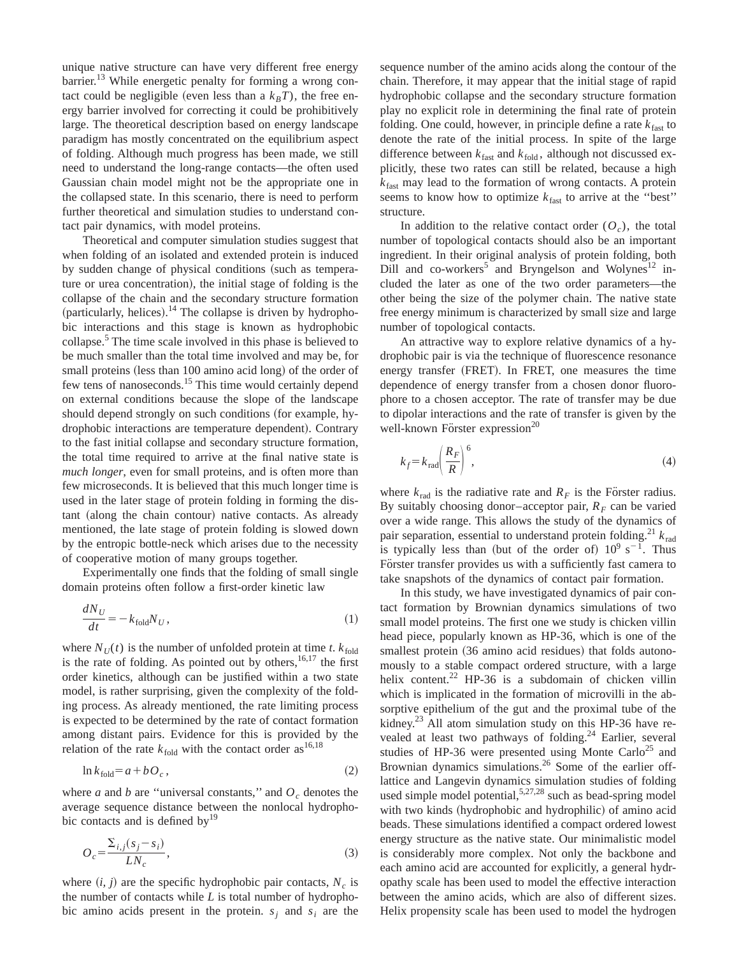unique native structure can have very different free energy  $barrier$ <sup>13</sup> While energetic penalty for forming a wrong contact could be negligible (even less than a  $k_BT$ ), the free energy barrier involved for correcting it could be prohibitively large. The theoretical description based on energy landscape paradigm has mostly concentrated on the equilibrium aspect of folding. Although much progress has been made, we still need to understand the long-range contacts—the often used Gaussian chain model might not be the appropriate one in the collapsed state. In this scenario, there is need to perform further theoretical and simulation studies to understand contact pair dynamics, with model proteins.

Theoretical and computer simulation studies suggest that when folding of an isolated and extended protein is induced by sudden change of physical conditions (such as temperature or urea concentration), the initial stage of folding is the collapse of the chain and the secondary structure formation (particularly, helices).<sup>14</sup> The collapse is driven by hydrophobic interactions and this stage is known as hydrophobic collapse.5 The time scale involved in this phase is believed to be much smaller than the total time involved and may be, for small proteins (less than 100 amino acid long) of the order of few tens of nanoseconds.15 This time would certainly depend on external conditions because the slope of the landscape should depend strongly on such conditions (for example, hydrophobic interactions are temperature dependent). Contrary to the fast initial collapse and secondary structure formation, the total time required to arrive at the final native state is *much longer*, even for small proteins, and is often more than few microseconds. It is believed that this much longer time is used in the later stage of protein folding in forming the distant (along the chain contour) native contacts. As already mentioned, the late stage of protein folding is slowed down by the entropic bottle-neck which arises due to the necessity of cooperative motion of many groups together.

Experimentally one finds that the folding of small single domain proteins often follow a first-order kinetic law

$$
\frac{dN_U}{dt} = -k_{\text{fold}} N_U,\tag{1}
$$

where  $N_U(t)$  is the number of unfolded protein at time *t*.  $k_{fold}$ is the rate of folding. As pointed out by others, $16,17$  the first order kinetics, although can be justified within a two state model, is rather surprising, given the complexity of the folding process. As already mentioned, the rate limiting process is expected to be determined by the rate of contact formation among distant pairs. Evidence for this is provided by the relation of the rate  $k_{\text{fold}}$  with the contact order as<sup>16,18</sup>

$$
\ln k_{\text{fold}} = a + b \, O_c \,,\tag{2}
$$

where *a* and *b* are "universal constants," and  $O_c$  denotes the average sequence distance between the nonlocal hydrophobic contacts and is defined by $19$ 

$$
O_c = \frac{\sum_{i,j}(s_j - s_i)}{LN_c},\tag{3}
$$

where  $(i, j)$  are the specific hydrophobic pair contacts,  $N_c$  is the number of contacts while *L* is total number of hydrophobic amino acids present in the protein.  $s_i$  and  $s_i$  are the sequence number of the amino acids along the contour of the chain. Therefore, it may appear that the initial stage of rapid hydrophobic collapse and the secondary structure formation play no explicit role in determining the final rate of protein folding. One could, however, in principle define a rate  $k_{\text{fast}}$  to denote the rate of the initial process. In spite of the large difference between  $k_{\text{fast}}$  and  $k_{\text{fold}}$ , although not discussed explicitly, these two rates can still be related, because a high  $k_{\text{fast}}$  may lead to the formation of wrong contacts. A protein seems to know how to optimize  $k_{\text{fast}}$  to arrive at the "best" structure.

In addition to the relative contact order  $(O<sub>c</sub>)$ , the total number of topological contacts should also be an important ingredient. In their original analysis of protein folding, both Dill and co-workers<sup>5</sup> and Bryngelson and Wolynes<sup>12</sup> included the later as one of the two order parameters—the other being the size of the polymer chain. The native state free energy minimum is characterized by small size and large number of topological contacts.

An attractive way to explore relative dynamics of a hydrophobic pair is via the technique of fluorescence resonance energy transfer (FRET). In FRET, one measures the time dependence of energy transfer from a chosen donor fluorophore to a chosen acceptor. The rate of transfer may be due to dipolar interactions and the rate of transfer is given by the well-known Förster expression $^{20}$ 

$$
k_f = k_{\rm rad} \left(\frac{R_F}{R}\right)^6,\tag{4}
$$

where  $k_{rad}$  is the radiative rate and  $R_F$  is the Förster radius. By suitably choosing donor–acceptor pair,  $R_F$  can be varied over a wide range. This allows the study of the dynamics of pair separation, essential to understand protein folding.<sup>21</sup>  $k_{rad}$ is typically less than (but of the order of)  $10^9 \text{ s}^{-1}$ . Thus Förster transfer provides us with a sufficiently fast camera to take snapshots of the dynamics of contact pair formation.

In this study, we have investigated dynamics of pair contact formation by Brownian dynamics simulations of two small model proteins. The first one we study is chicken villin head piece, popularly known as HP-36, which is one of the smallest protein (36 amino acid residues) that folds autonomously to a stable compact ordered structure, with a large helix content.<sup>22</sup> HP-36 is a subdomain of chicken villin which is implicated in the formation of microvilli in the absorptive epithelium of the gut and the proximal tube of the kidney.<sup>23</sup> All atom simulation study on this HP-36 have revealed at least two pathways of folding.<sup>24</sup> Earlier, several studies of HP-36 were presented using Monte Carlo<sup>25</sup> and Brownian dynamics simulations.<sup>26</sup> Some of the earlier offlattice and Langevin dynamics simulation studies of folding used simple model potential,<sup>5,27,28</sup> such as bead-spring model with two kinds (hydrophobic and hydrophilic) of amino acid beads. These simulations identified a compact ordered lowest energy structure as the native state. Our minimalistic model is considerably more complex. Not only the backbone and each amino acid are accounted for explicitly, a general hydropathy scale has been used to model the effective interaction between the amino acids, which are also of different sizes. Helix propensity scale has been used to model the hydrogen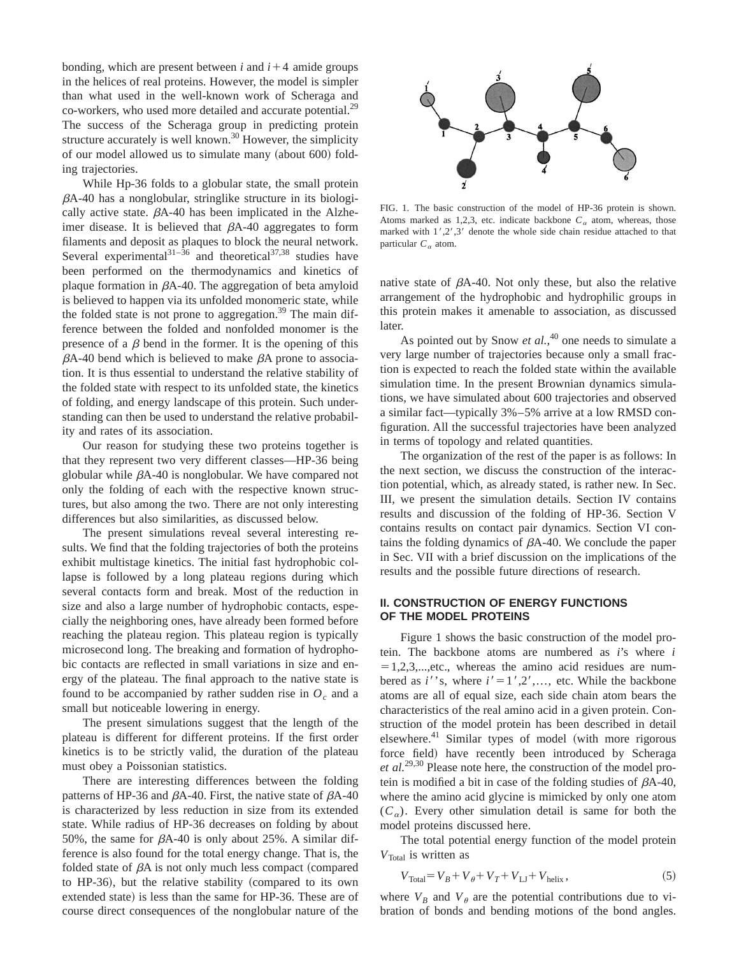bonding, which are present between  $i$  and  $i+4$  amide groups in the helices of real proteins. However, the model is simpler than what used in the well-known work of Scheraga and co-workers, who used more detailed and accurate potential.<sup>29</sup> The success of the Scheraga group in predicting protein structure accurately is well known. $30$  However, the simplicity of our model allowed us to simulate many (about 600) folding trajectories.

While Hp-36 folds to a globular state, the small protein  $\beta$ A-40 has a nonglobular, stringlike structure in its biologically active state.  $\beta$ A-40 has been implicated in the Alzheimer disease. It is believed that  $\beta$ A-40 aggregates to form filaments and deposit as plaques to block the neural network. Several experimental<sup>31-36</sup> and theoretical<sup>37,38</sup> studies have been performed on the thermodynamics and kinetics of plaque formation in  $\beta$ A-40. The aggregation of beta amyloid is believed to happen via its unfolded monomeric state, while the folded state is not prone to aggregation.<sup>39</sup> The main difference between the folded and nonfolded monomer is the presence of a  $\beta$  bend in the former. It is the opening of this  $\beta$ A-40 bend which is believed to make  $\beta$ A prone to association. It is thus essential to understand the relative stability of the folded state with respect to its unfolded state, the kinetics of folding, and energy landscape of this protein. Such understanding can then be used to understand the relative probability and rates of its association.

Our reason for studying these two proteins together is that they represent two very different classes—HP-36 being globular while  $\beta$ A-40 is nonglobular. We have compared not only the folding of each with the respective known structures, but also among the two. There are not only interesting differences but also similarities, as discussed below.

The present simulations reveal several interesting results. We find that the folding trajectories of both the proteins exhibit multistage kinetics. The initial fast hydrophobic collapse is followed by a long plateau regions during which several contacts form and break. Most of the reduction in size and also a large number of hydrophobic contacts, especially the neighboring ones, have already been formed before reaching the plateau region. This plateau region is typically microsecond long. The breaking and formation of hydrophobic contacts are reflected in small variations in size and energy of the plateau. The final approach to the native state is found to be accompanied by rather sudden rise in  $O<sub>c</sub>$  and a small but noticeable lowering in energy.

The present simulations suggest that the length of the plateau is different for different proteins. If the first order kinetics is to be strictly valid, the duration of the plateau must obey a Poissonian statistics.

There are interesting differences between the folding patterns of HP-36 and  $\beta$ A-40. First, the native state of  $\beta$ A-40 is characterized by less reduction in size from its extended state. While radius of HP-36 decreases on folding by about 50%, the same for  $\beta$ A-40 is only about 25%. A similar difference is also found for the total energy change. That is, the folded state of  $\beta A$  is not only much less compact (compared to HP-36), but the relative stability (compared to its own extended state) is less than the same for HP-36. These are of course direct consequences of the nonglobular nature of the



FIG. 1. The basic construction of the model of HP-36 protein is shown. Atoms marked as 1,2,3, etc. indicate backbone  $C_\alpha$  atom, whereas, those marked with  $1', 2', 3'$  denote the whole side chain residue attached to that particular  $C_\alpha$  atom.

native state of  $\beta$ A-40. Not only these, but also the relative arrangement of the hydrophobic and hydrophilic groups in this protein makes it amenable to association, as discussed later.

As pointed out by Snow *et al.*, <sup>40</sup> one needs to simulate a very large number of trajectories because only a small fraction is expected to reach the folded state within the available simulation time. In the present Brownian dynamics simulations, we have simulated about 600 trajectories and observed a similar fact—typically 3%–5% arrive at a low RMSD configuration. All the successful trajectories have been analyzed in terms of topology and related quantities.

The organization of the rest of the paper is as follows: In the next section, we discuss the construction of the interaction potential, which, as already stated, is rather new. In Sec. III, we present the simulation details. Section IV contains results and discussion of the folding of HP-36. Section V contains results on contact pair dynamics. Section VI contains the folding dynamics of  $\beta$ A-40. We conclude the paper in Sec. VII with a brief discussion on the implications of the results and the possible future directions of research.

# **II. CONSTRUCTION OF ENERGY FUNCTIONS OF THE MODEL PROTEINS**

Figure 1 shows the basic construction of the model protein. The backbone atoms are numbered as *i*'s where *i*  $=1,2,3,...$ , etc., whereas the amino acid residues are numbered as  $i'$ s, where  $i' = 1', 2', \dots$ , etc. While the backbone atoms are all of equal size, each side chain atom bears the characteristics of the real amino acid in a given protein. Construction of the model protein has been described in detail elsewhere. $41$  Similar types of model (with more rigorous force field) have recently been introduced by Scheraga *et al.*29,30 Please note here, the construction of the model protein is modified a bit in case of the folding studies of  $\beta$ A-40, where the amino acid glycine is mimicked by only one atom  $(C_{\alpha})$ . Every other simulation detail is same for both the model proteins discussed here.

The total potential energy function of the model protein *V*Total is written as

$$
V_{\text{Total}} = V_B + V_\theta + V_T + V_{\text{LJ}} + V_{\text{helix}}\,,\tag{5}
$$

where  $V_B$  and  $V_\theta$  are the potential contributions due to vibration of bonds and bending motions of the bond angles.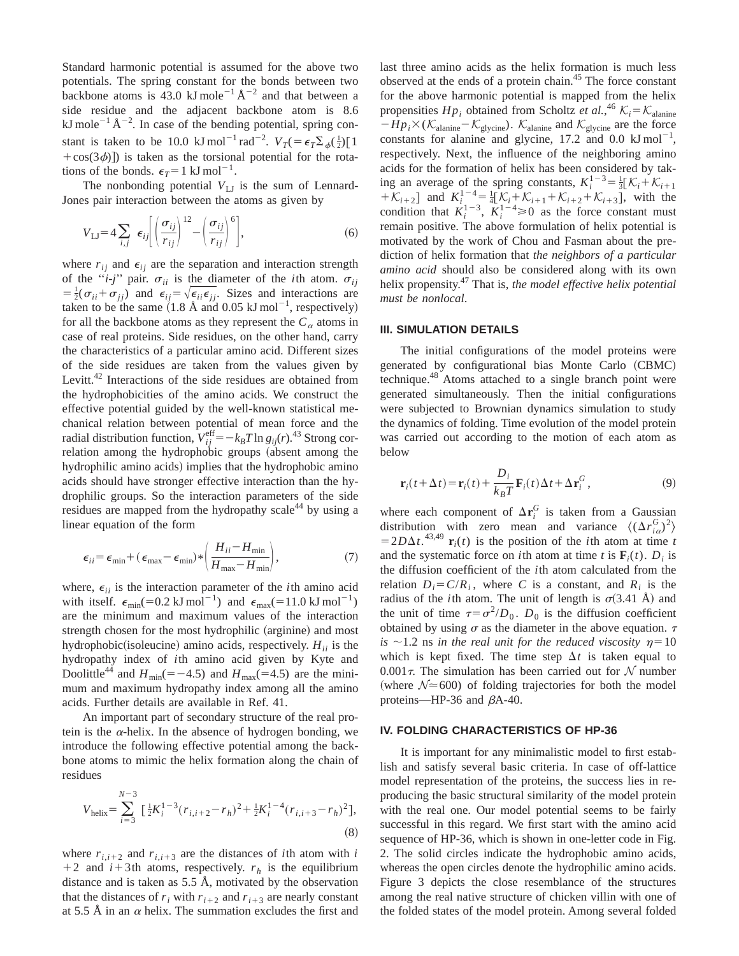Standard harmonic potential is assumed for the above two potentials. The spring constant for the bonds between two backbone atoms is 43.0 kJ mole<sup> $-1$ </sup> Å<sup> $-2$ </sup> and that between a side residue and the adjacent backbone atom is 8.6 kJ mole<sup> $-1$ </sup>  $\AA$ <sup> $-2$ </sup>. In case of the bending potential, spring constant is taken to be 10.0 kJ mol<sup>-1</sup> rad<sup>-2</sup>.  $V_T = \epsilon_T \sum_{\phi} (\frac{1}{2}) [1]$  $+cos(3\phi)$ ) is taken as the torsional potential for the rotations of the bonds.  $\epsilon_T = 1 \text{ kJ mol}^{-1}$ .

The nonbonding potential  $V_{\text{LJ}}$  is the sum of Lennard-Jones pair interaction between the atoms as given by

$$
V_{\text{LJ}} = 4 \sum_{i,j} \epsilon_{ij} \left[ \left( \frac{\sigma_{ij}}{r_{ij}} \right)^{12} - \left( \frac{\sigma_{ij}}{r_{ij}} \right)^{6} \right],\tag{6}
$$

where  $r_{ij}$  and  $\epsilon_{ij}$  are the separation and interaction strength of the "*i-j*" pair.  $\sigma_{ii}$  is the diameter of the *i*th atom.  $\sigma_{ij}$  $= \frac{1}{2}(\sigma_{ii} + \sigma_{jj})$  and  $\epsilon_{ij} = \sqrt{\epsilon_{ii} \epsilon_{jj}}$ . Sizes and interactions are taken to be the same  $(1.8 \text{ Å} \text{ and } 0.05 \text{ kJ} \text{ mol}^{-1}$ , respectively) for all the backbone atoms as they represent the  $C_{\alpha}$  atoms in case of real proteins. Side residues, on the other hand, carry the characteristics of a particular amino acid. Different sizes of the side residues are taken from the values given by Levitt.<sup>42</sup> Interactions of the side residues are obtained from the hydrophobicities of the amino acids. We construct the effective potential guided by the well-known statistical mechanical relation between potential of mean force and the radial distribution function,  $V_{ij}^{\text{eff}} = -k_B T \ln g_{ij}(r)$ .<sup>43</sup> Strong correlation among the hydrophobic groups (absent among the hydrophilic amino acids) implies that the hydrophobic amino acids should have stronger effective interaction than the hydrophilic groups. So the interaction parameters of the side residues are mapped from the hydropathy scale<sup>44</sup> by using a linear equation of the form

$$
\epsilon_{ii} = \epsilon_{\min} + (\epsilon_{\max} - \epsilon_{\min}) * \left( \frac{H_{ii} - H_{\min}}{H_{\max} - H_{\min}} \right),\tag{7}
$$

where,  $\epsilon_{ii}$  is the interaction parameter of the *i*th amino acid with itself.  $\epsilon_{\text{min}}(=0.2 \text{ kJ mol}^{-1})$  and  $\epsilon_{\text{max}}(=11.0 \text{ kJ mol}^{-1})$ are the minimum and maximum values of the interaction strength chosen for the most hydrophilic (arginine) and most hydrophobic(isoleucine) amino acids, respectively.  $H_{ii}$  is the hydropathy index of *i*th amino acid given by Kyte and Doolittle<sup>44</sup> and  $H_{min} (= -4.5)$  and  $H_{max} (=4.5)$  are the minimum and maximum hydropathy index among all the amino acids. Further details are available in Ref. 41.

An important part of secondary structure of the real protein is the  $\alpha$ -helix. In the absence of hydrogen bonding, we introduce the following effective potential among the backbone atoms to mimic the helix formation along the chain of residues

$$
V_{\text{helix}} = \sum_{i=3}^{N-3} \left[ \frac{1}{2} K_i^{1-3} (r_{i,i+2} - r_h)^2 + \frac{1}{2} K_i^{1-4} (r_{i,i+3} - r_h)^2 \right],\tag{8}
$$

where  $r_{i,i+2}$  and  $r_{i,i+3}$  are the distances of *i*th atom with *i*  $+2$  and  $i+3$ th atoms, respectively.  $r<sub>h</sub>$  is the equilibrium distance and is taken as 5.5 Å, motivated by the observation that the distances of  $r_i$  with  $r_{i+2}$  and  $r_{i+3}$  are nearly constant at 5.5 Å in an  $\alpha$  helix. The summation excludes the first and last three amino acids as the helix formation is much less observed at the ends of a protein chain.<sup>45</sup> The force constant for the above harmonic potential is mapped from the helix propensities  $Hp_i$  obtained from Scholtz *et al.*,<sup>46</sup>  $K_i = K_{\text{alanine}}$  $-Hp_i\times(K_{\text{alanine}}-\mathcal{K}_{\text{glycine}}).$  K<sub>alanine</sub> and K<sub>glycine</sub> are the force constants for alanine and glycine,  $17.2$  and  $0.0 \text{ kJ mol}^{-1}$ , respectively. Next, the influence of the neighboring amino acids for the formation of helix has been considered by taking an average of the spring constants,  $K_i^{1-3} = \frac{1}{3} [K_i + K_{i+1}]$  $+K_{i+2}$ ] and  $K_{i}^{1-4} = \frac{1}{4} [K_{i+1} + K_{i+1} + K_{i+2} + K_{i+3}],$  with the condition that  $K_i^{1-3}$ ,  $K_i^{1-4} \ge 0$  as the force constant must remain positive. The above formulation of helix potential is motivated by the work of Chou and Fasman about the prediction of helix formation that *the neighbors of a particular amino acid* should also be considered along with its own helix propensity.<sup>47</sup> That is, *the model effective helix potential must be nonlocal*.

### **III. SIMULATION DETAILS**

The initial configurations of the model proteins were generated by configurational bias Monte Carlo (CBMC) technique.<sup>48</sup> Atoms attached to a single branch point were generated simultaneously. Then the initial configurations were subjected to Brownian dynamics simulation to study the dynamics of folding. Time evolution of the model protein was carried out according to the motion of each atom as below

$$
\mathbf{r}_i(t + \Delta t) = \mathbf{r}_i(t) + \frac{D_i}{k_B T} \mathbf{F}_i(t) \Delta t + \Delta \mathbf{r}_i^G,
$$
\n(9)

where each component of  $\Delta \mathbf{r}_i^G$  is taken from a Gaussian distribution with zero mean and variance  $\langle (\Delta r_{i\alpha}^G)^2 \rangle$  $=2D\Delta t$ .<sup>43,49</sup>  $\mathbf{r}_i(t)$  is the position of the *i*th atom at time *t* and the systematic force on *i*th atom at time *t* is  $\mathbf{F}_i(t)$ .  $D_i$  is the diffusion coefficient of the *i*th atom calculated from the relation  $D_i = C/R_i$ , where *C* is a constant, and  $R_i$  is the radius of the *i*th atom. The unit of length is  $\sigma(3.41 \text{ Å})$  and the unit of time  $\tau = \sigma^2/D_0$ . *D*<sub>0</sub> is the diffusion coefficient obtained by using  $\sigma$  as the diameter in the above equation.  $\tau$ *is*  $\sim$ 1.2 ns *in the real unit for the reduced viscosity*  $\eta$ =10 which is kept fixed. The time step  $\Delta t$  is taken equal to 0.001 $\tau$ . The simulation has been carried out for N number (where  $\mathcal{N} \approx 600$ ) of folding trajectories for both the model proteins—HP-36 and  $\beta$ A-40.

## **IV. FOLDING CHARACTERISTICS OF HP-36**

It is important for any minimalistic model to first establish and satisfy several basic criteria. In case of off-lattice model representation of the proteins, the success lies in reproducing the basic structural similarity of the model protein with the real one. Our model potential seems to be fairly successful in this regard. We first start with the amino acid sequence of HP-36, which is shown in one-letter code in Fig. 2. The solid circles indicate the hydrophobic amino acids, whereas the open circles denote the hydrophilic amino acids. Figure 3 depicts the close resemblance of the structures among the real native structure of chicken villin with one of the folded states of the model protein. Among several folded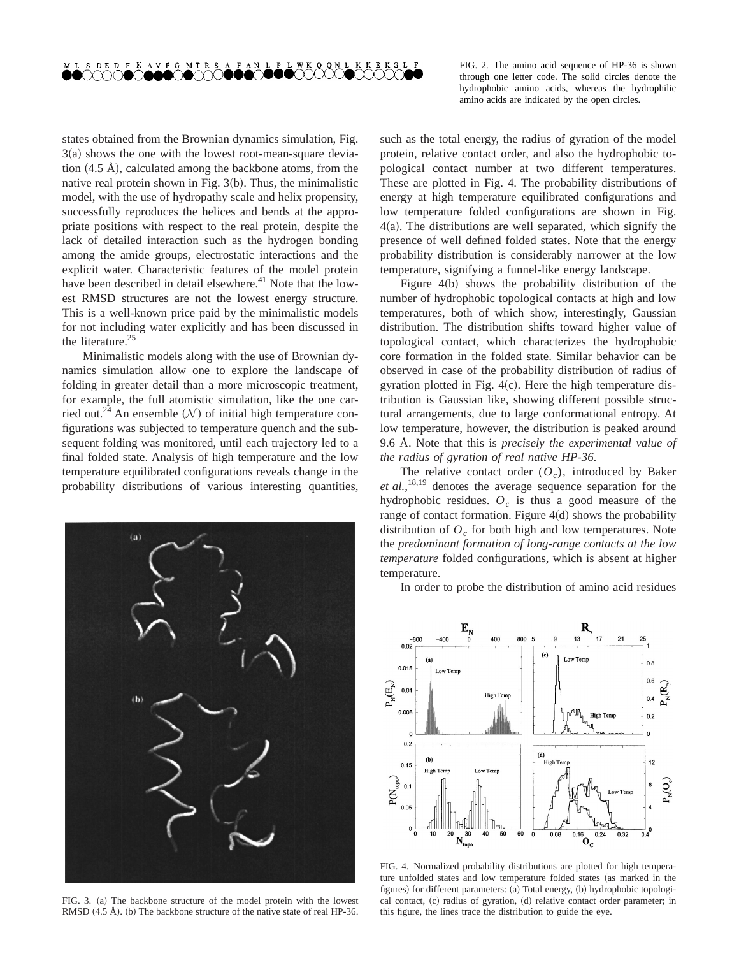

FIG. 2. The amino acid sequence of HP-36 is shown through one letter code. The solid circles denote the hydrophobic amino acids, whereas the hydrophilic amino acids are indicated by the open circles.

states obtained from the Brownian dynamics simulation, Fig.  $3(a)$  shows the one with the lowest root-mean-square deviation  $(4.5 \text{ Å})$ , calculated among the backbone atoms, from the native real protein shown in Fig.  $3(b)$ . Thus, the minimalistic model, with the use of hydropathy scale and helix propensity, successfully reproduces the helices and bends at the appropriate positions with respect to the real protein, despite the lack of detailed interaction such as the hydrogen bonding among the amide groups, electrostatic interactions and the explicit water. Characteristic features of the model protein have been described in detail elsewhere.<sup>41</sup> Note that the lowest RMSD structures are not the lowest energy structure. This is a well-known price paid by the minimalistic models for not including water explicitly and has been discussed in the literature.<sup>25</sup>

Minimalistic models along with the use of Brownian dynamics simulation allow one to explore the landscape of folding in greater detail than a more microscopic treatment, for example, the full atomistic simulation, like the one carried out.<sup>24</sup> An ensemble  $(N)$  of initial high temperature configurations was subjected to temperature quench and the subsequent folding was monitored, until each trajectory led to a final folded state. Analysis of high temperature and the low temperature equilibrated configurations reveals change in the probability distributions of various interesting quantities,



FIG. 3. (a) The backbone structure of the model protein with the lowest RMSD  $(4.5 \text{ Å})$ . (b) The backbone structure of the native state of real HP-36.

such as the total energy, the radius of gyration of the model protein, relative contact order, and also the hydrophobic topological contact number at two different temperatures. These are plotted in Fig. 4. The probability distributions of energy at high temperature equilibrated configurations and low temperature folded configurations are shown in Fig.  $4(a)$ . The distributions are well separated, which signify the presence of well defined folded states. Note that the energy probability distribution is considerably narrower at the low temperature, signifying a funnel-like energy landscape.

Figure  $4(b)$  shows the probability distribution of the number of hydrophobic topological contacts at high and low temperatures, both of which show, interestingly, Gaussian distribution. The distribution shifts toward higher value of topological contact, which characterizes the hydrophobic core formation in the folded state. Similar behavior can be observed in case of the probability distribution of radius of gyration plotted in Fig.  $4(c)$ . Here the high temperature distribution is Gaussian like, showing different possible structural arrangements, due to large conformational entropy. At low temperature, however, the distribution is peaked around 9.6 Å. Note that this is *precisely the experimental value of the radius of gyration of real native HP-36*.

The relative contact order  $(O<sub>c</sub>)$ , introduced by Baker *et al.*, 18,19 denotes the average sequence separation for the hydrophobic residues.  $O<sub>c</sub>$  is thus a good measure of the range of contact formation. Figure  $4(d)$  shows the probability distribution of  $O<sub>c</sub>$  for both high and low temperatures. Note the *predominant formation of long-range contacts at the low temperature* folded configurations, which is absent at higher temperature.

In order to probe the distribution of amino acid residues



FIG. 4. Normalized probability distributions are plotted for high temperature unfolded states and low temperature folded states (as marked in the figures) for different parameters: (a) Total energy, (b) hydrophobic topological contact, (c) radius of gyration, (d) relative contact order parameter; in this figure, the lines trace the distribution to guide the eye.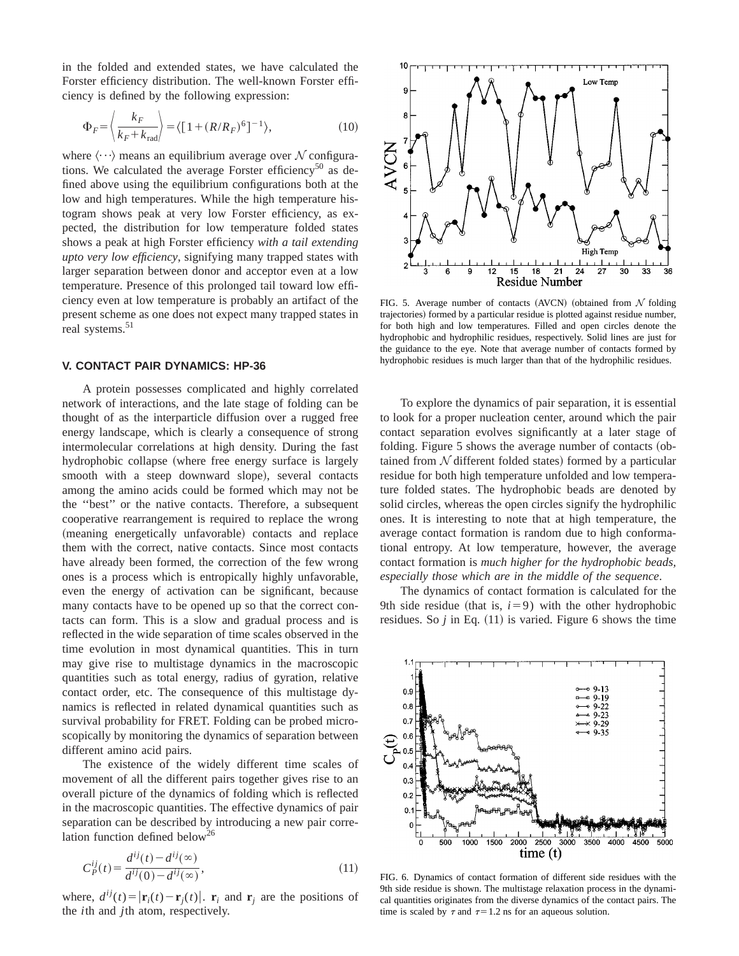in the folded and extended states, we have calculated the Forster efficiency distribution. The well-known Forster efficiency is defined by the following expression:

$$
\Phi_F = \left\langle \frac{k_F}{k_F + k_{\text{rad}}} \right\rangle = \left\langle \left[ 1 + (R/R_F)^6 \right]^{-1} \right\rangle,\tag{10}
$$

where  $\langle \cdots \rangle$  means an equilibrium average over N configurations. We calculated the average Forster efficiency<sup>50</sup> as defined above using the equilibrium configurations both at the low and high temperatures. While the high temperature histogram shows peak at very low Forster efficiency, as expected, the distribution for low temperature folded states shows a peak at high Forster efficiency *with a tail extending upto very low efficiency*, signifying many trapped states with larger separation between donor and acceptor even at a low temperature. Presence of this prolonged tail toward low efficiency even at low temperature is probably an artifact of the present scheme as one does not expect many trapped states in real systems.<sup>51</sup>

### **V. CONTACT PAIR DYNAMICS: HP-36**

A protein possesses complicated and highly correlated network of interactions, and the late stage of folding can be thought of as the interparticle diffusion over a rugged free energy landscape, which is clearly a consequence of strong intermolecular correlations at high density. During the fast hydrophobic collapse (where free energy surface is largely smooth with a steep downward slope), several contacts among the amino acids could be formed which may not be the ''best'' or the native contacts. Therefore, a subsequent cooperative rearrangement is required to replace the wrong (meaning energetically unfavorable) contacts and replace them with the correct, native contacts. Since most contacts have already been formed, the correction of the few wrong ones is a process which is entropically highly unfavorable, even the energy of activation can be significant, because many contacts have to be opened up so that the correct contacts can form. This is a slow and gradual process and is reflected in the wide separation of time scales observed in the time evolution in most dynamical quantities. This in turn may give rise to multistage dynamics in the macroscopic quantities such as total energy, radius of gyration, relative contact order, etc. The consequence of this multistage dynamics is reflected in related dynamical quantities such as survival probability for FRET. Folding can be probed microscopically by monitoring the dynamics of separation between different amino acid pairs.

The existence of the widely different time scales of movement of all the different pairs together gives rise to an overall picture of the dynamics of folding which is reflected in the macroscopic quantities. The effective dynamics of pair separation can be described by introducing a new pair correlation function defined below<sup>26</sup>

$$
C_P^{ij}(t) = \frac{d^{ij}(t) - d^{ij}(\infty)}{d^{ij}(0) - d^{ij}(\infty)},
$$
\n(11)

where,  $d^{ij}(t) = |\mathbf{r}_i(t) - \mathbf{r}_j(t)|$ .  $\mathbf{r}_i$  and  $\mathbf{r}_j$  are the positions of the *i*th and *j*th atom, respectively.



FIG. 5. Average number of contacts (AVCN) (obtained from  $N$  folding trajectories) formed by a particular residue is plotted against residue number, for both high and low temperatures. Filled and open circles denote the hydrophobic and hydrophilic residues, respectively. Solid lines are just for the guidance to the eye. Note that average number of contacts formed by hydrophobic residues is much larger than that of the hydrophilic residues.

To explore the dynamics of pair separation, it is essential to look for a proper nucleation center, around which the pair contact separation evolves significantly at a later stage of folding. Figure 5 shows the average number of contacts (obtained from  $N$  different folded states) formed by a particular residue for both high temperature unfolded and low temperature folded states. The hydrophobic beads are denoted by solid circles, whereas the open circles signify the hydrophilic ones. It is interesting to note that at high temperature, the average contact formation is random due to high conformational entropy. At low temperature, however, the average contact formation is *much higher for the hydrophobic beads, especially those which are in the middle of the sequence*.

The dynamics of contact formation is calculated for the 9th side residue (that is,  $i=9$ ) with the other hydrophobic residues. So  $j$  in Eq.  $(11)$  is varied. Figure 6 shows the time



FIG. 6. Dynamics of contact formation of different side residues with the 9th side residue is shown. The multistage relaxation process in the dynamical quantities originates from the diverse dynamics of the contact pairs. The time is scaled by  $\tau$  and  $\tau=1.2$  ns for an aqueous solution.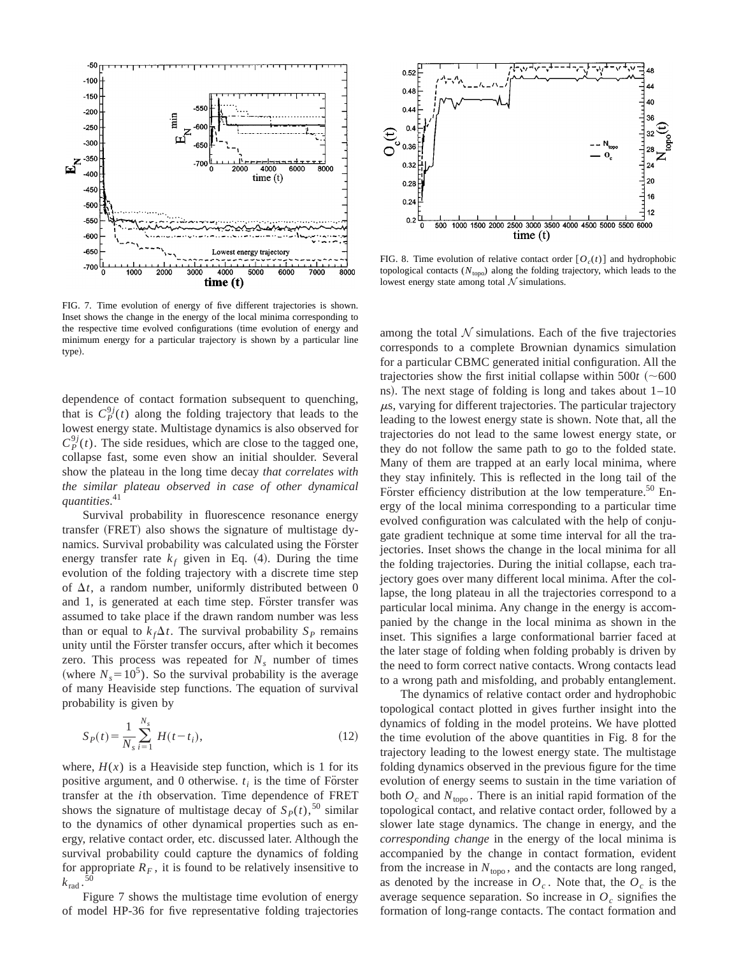

FIG. 7. Time evolution of energy of five different trajectories is shown. Inset shows the change in the energy of the local minima corresponding to the respective time evolved configurations (time evolution of energy and minimum energy for a particular trajectory is shown by a particular line type).

dependence of contact formation subsequent to quenching, that is  $C_p^{9j}(t)$  along the folding trajectory that leads to the lowest energy state. Multistage dynamics is also observed for  $C_P^{9j}(t)$ . The side residues, which are close to the tagged one, collapse fast, some even show an initial shoulder. Several show the plateau in the long time decay *that correlates with the similar plateau observed in case of other dynamical quantities*. 41

Survival probability in fluorescence resonance energy transfer (FRET) also shows the signature of multistage dynamics. Survival probability was calculated using the Förster energy transfer rate  $k_f$  given in Eq. (4). During the time evolution of the folding trajectory with a discrete time step of  $\Delta t$ , a random number, uniformly distributed between 0 and 1, is generated at each time step. Forster transfer was assumed to take place if the drawn random number was less than or equal to  $k_f \Delta t$ . The survival probability  $S_p$  remains unity until the Förster transfer occurs, after which it becomes zero. This process was repeated for  $N_s$  number of times (where  $N_s = 10^5$ ). So the survival probability is the average of many Heaviside step functions. The equation of survival probability is given by

$$
S_P(t) = \frac{1}{N_s} \sum_{i=1}^{N_s} H(t - t_i),
$$
\n(12)

where,  $H(x)$  is a Heaviside step function, which is 1 for its positive argument, and 0 otherwise.  $t_i$  is the time of Forster transfer at the *i*th observation. Time dependence of FRET shows the signature of multistage decay of  $S_p(t)$ ,<sup>50</sup> similar to the dynamics of other dynamical properties such as energy, relative contact order, etc. discussed later. Although the survival probability could capture the dynamics of folding for appropriate  $R_F$ , it is found to be relatively insensitive to  $k_{\text{rad}}$ . 50

Figure 7 shows the multistage time evolution of energy of model HP-36 for five representative folding trajectories



FIG. 8. Time evolution of relative contact order  $[O_c(t)]$  and hydrophobic topological contacts  $(N_{\text{topo}})$  along the folding trajectory, which leads to the lowest energy state among total  $N$  simulations.

among the total  $N$  simulations. Each of the five trajectories corresponds to a complete Brownian dynamics simulation for a particular CBMC generated initial configuration. All the trajectories show the first initial collapse within  $500t$  ( $\sim$ 600 ns). The next stage of folding is long and takes about  $1-10$  $\mu$ s, varying for different trajectories. The particular trajectory leading to the lowest energy state is shown. Note that, all the trajectories do not lead to the same lowest energy state, or they do not follow the same path to go to the folded state. Many of them are trapped at an early local minima, where they stay infinitely. This is reflected in the long tail of the Förster efficiency distribution at the low temperature.<sup>50</sup> Energy of the local minima corresponding to a particular time evolved configuration was calculated with the help of conjugate gradient technique at some time interval for all the trajectories. Inset shows the change in the local minima for all the folding trajectories. During the initial collapse, each trajectory goes over many different local minima. After the collapse, the long plateau in all the trajectories correspond to a particular local minima. Any change in the energy is accompanied by the change in the local minima as shown in the inset. This signifies a large conformational barrier faced at the later stage of folding when folding probably is driven by the need to form correct native contacts. Wrong contacts lead to a wrong path and misfolding, and probably entanglement.

The dynamics of relative contact order and hydrophobic topological contact plotted in gives further insight into the dynamics of folding in the model proteins. We have plotted the time evolution of the above quantities in Fig. 8 for the trajectory leading to the lowest energy state. The multistage folding dynamics observed in the previous figure for the time evolution of energy seems to sustain in the time variation of both  $O_c$  and  $N_{\text{topo}}$ . There is an initial rapid formation of the topological contact, and relative contact order, followed by a slower late stage dynamics. The change in energy, and the *corresponding change* in the energy of the local minima is accompanied by the change in contact formation, evident from the increase in  $N_{\text{topo}}$ , and the contacts are long ranged, as denoted by the increase in  $O_c$ . Note that, the  $O_c$  is the average sequence separation. So increase in  $O<sub>c</sub>$  signifies the formation of long-range contacts. The contact formation and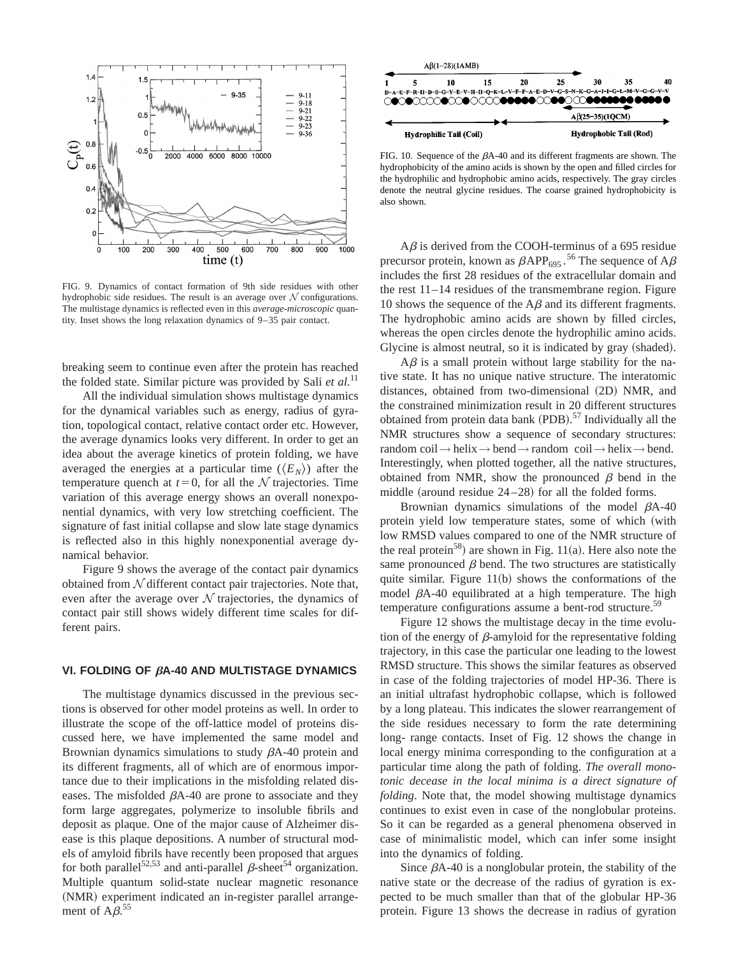

FIG. 9. Dynamics of contact formation of 9th side residues with other hydrophobic side residues. The result is an average over  $N$  configurations. The multistage dynamics is reflected even in this *average-microscopic* quantity. Inset shows the long relaxation dynamics of 9–35 pair contact.

breaking seem to continue even after the protein has reached the folded state. Similar picture was provided by Sali *et al.*<sup>11</sup>

All the individual simulation shows multistage dynamics for the dynamical variables such as energy, radius of gyration, topological contact, relative contact order etc. However, the average dynamics looks very different. In order to get an idea about the average kinetics of protein folding, we have averaged the energies at a particular time  $(\langle E_N \rangle)$  after the temperature quench at  $t=0$ , for all the  $N$  trajectories. Time variation of this average energy shows an overall nonexponential dynamics, with very low stretching coefficient. The signature of fast initial collapse and slow late stage dynamics is reflected also in this highly nonexponential average dynamical behavior.

Figure 9 shows the average of the contact pair dynamics obtained from  $N$  different contact pair trajectories. Note that, even after the average over  $\mathcal N$  trajectories, the dynamics of contact pair still shows widely different time scales for different pairs.

## **VI. FOLDING OF**  $\beta$ **A-40 AND MULTISTAGE DYNAMICS**

The multistage dynamics discussed in the previous sections is observed for other model proteins as well. In order to illustrate the scope of the off-lattice model of proteins discussed here, we have implemented the same model and Brownian dynamics simulations to study  $\beta$ A-40 protein and its different fragments, all of which are of enormous importance due to their implications in the misfolding related diseases. The misfolded  $\beta$ A-40 are prone to associate and they form large aggregates, polymerize to insoluble fibrils and deposit as plaque. One of the major cause of Alzheimer disease is this plaque depositions. A number of structural models of amyloid fibrils have recently been proposed that argues for both parallel<sup>52,53</sup> and anti-parallel  $\beta$ -sheet<sup>54</sup> organization. Multiple quantum solid-state nuclear magnetic resonance (NMR) experiment indicated an in-register parallel arrangement of  $A\beta$ .<sup>55</sup>



FIG. 10. Sequence of the  $\beta$ A-40 and its different fragments are shown. The hydrophobicity of the amino acids is shown by the open and filled circles for the hydrophilic and hydrophobic amino acids, respectively. The gray circles denote the neutral glycine residues. The coarse grained hydrophobicity is also shown.

 $A\beta$  is derived from the COOH-terminus of a 695 residue precursor protein, known as  $\beta$ APP<sub>695</sub>.<sup>56</sup> The sequence of A $\beta$ includes the first 28 residues of the extracellular domain and the rest 11–14 residues of the transmembrane region. Figure 10 shows the sequence of the  $A\beta$  and its different fragments. The hydrophobic amino acids are shown by filled circles, whereas the open circles denote the hydrophilic amino acids. Glycine is almost neutral, so it is indicated by gray (shaded).

 $A\beta$  is a small protein without large stability for the native state. It has no unique native structure. The interatomic distances, obtained from two-dimensional (2D) NMR, and the constrained minimization result in 20 different structures obtained from protein data bank (PDB).<sup>57</sup> Individually all the NMR structures show a sequence of secondary structures: random coil  $\rightarrow$  helix  $\rightarrow$  bend $\rightarrow$  random coil  $\rightarrow$  helix  $\rightarrow$  bend. Interestingly, when plotted together, all the native structures, obtained from NMR, show the pronounced  $\beta$  bend in the middle (around residue  $24 - 28$ ) for all the folded forms.

Brownian dynamics simulations of the model  $\beta$ A-40 protein yield low temperature states, some of which (with low RMSD values compared to one of the NMR structure of the real protein<sup>58</sup>) are shown in Fig. 11(a). Here also note the same pronounced  $\beta$  bend. The two structures are statistically quite similar. Figure  $11(b)$  shows the conformations of the model  $\beta$ A-40 equilibrated at a high temperature. The high temperature configurations assume a bent-rod structure.<sup>59</sup>

Figure 12 shows the multistage decay in the time evolution of the energy of  $\beta$ -amyloid for the representative folding trajectory, in this case the particular one leading to the lowest RMSD structure. This shows the similar features as observed in case of the folding trajectories of model HP-36. There is an initial ultrafast hydrophobic collapse, which is followed by a long plateau. This indicates the slower rearrangement of the side residues necessary to form the rate determining long- range contacts. Inset of Fig. 12 shows the change in local energy minima corresponding to the configuration at a particular time along the path of folding. *The overall monotonic decease in the local minima is a direct signature of folding*. Note that, the model showing multistage dynamics continues to exist even in case of the nonglobular proteins. So it can be regarded as a general phenomena observed in case of minimalistic model, which can infer some insight into the dynamics of folding.

Since  $\beta$ A-40 is a nonglobular protein, the stability of the native state or the decrease of the radius of gyration is expected to be much smaller than that of the globular HP-36 protein. Figure 13 shows the decrease in radius of gyration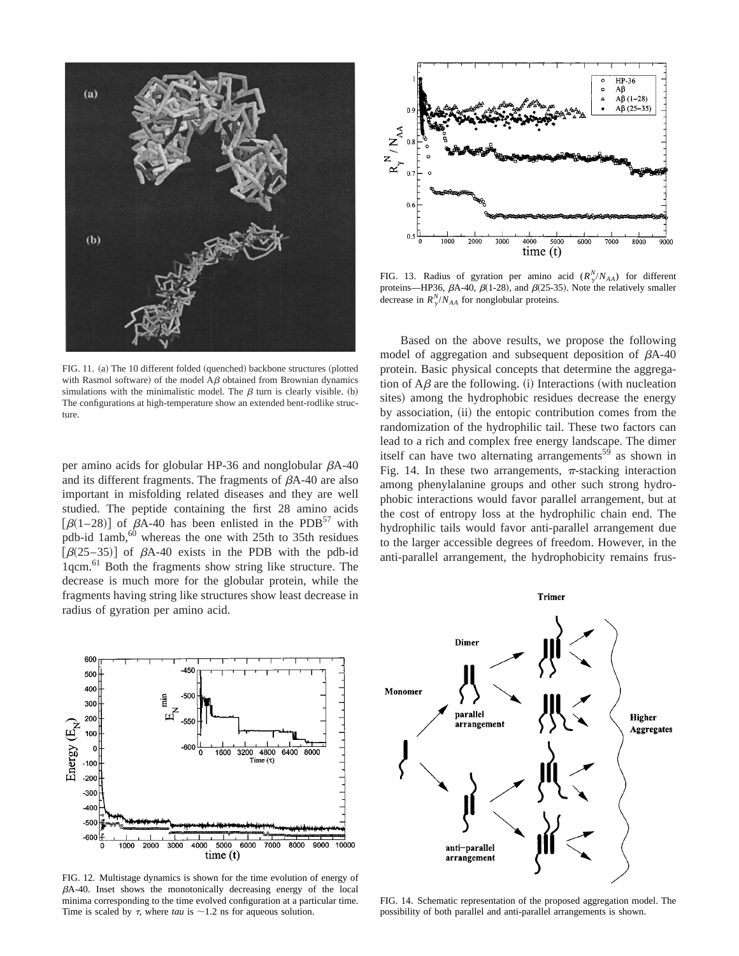

FIG. 11. (a) The 10 different folded (quenched) backbone structures (plotted with Rasmol software) of the model  $A\beta$  obtained from Brownian dynamics simulations with the minimalistic model. The  $\beta$  turn is clearly visible. (b) The configurations at high-temperature show an extended bent-rodlike structure

per amino acids for globular HP-36 and nonglobular  $\beta$ A-40 and its different fragments. The fragments of  $\beta$ A-40 are also important in misfolding related diseases and they are well studied. The peptide containing the first 28 amino acids  $\left[\beta(1-28)\right]$  of  $\beta$ A-40 has been enlisted in the PDB<sup>57</sup> with pdb-id 1amb, $60$  whereas the one with 25th to 35th residues  $[\beta(25-35)]$  of  $\beta$ A-40 exists in the PDB with the pdb-id 1qcm.<sup>61</sup> Both the fragments show string like structure. The decrease is much more for the globular protein, while the fragments having string like structures show least decrease in radius of gyration per amino acid.



FIG. 13. Radius of gyration per amino acid  $(R_{\gamma}^{N}/N_{AA})$  for different proteins—HP36,  $\beta$ A-40,  $\beta$ (1-28), and  $\beta$ (25-35). Note the relatively smaller decrease in  $R_{\gamma}^{N}/N_{AA}$  for nonglobular proteins.

Based on the above results, we propose the following model of aggregation and subsequent deposition of  $\beta$ A-40 protein. Basic physical concepts that determine the aggregation of  $A\beta$  are the following. (i) Interactions (with nucleation sites) among the hydrophobic residues decrease the energy by association, (ii) the entopic contribution comes from the randomization of the hydrophilic tail. These two factors can lead to a rich and complex free energy landscape. The dimer itself can have two alternating arrangements<sup>59</sup> as shown in Fig. 14. In these two arrangements,  $\pi$ -stacking interaction among phenylalanine groups and other such strong hydrophobic interactions would favor parallel arrangement, but at the cost of entropy loss at the hydrophilic chain end. The hydrophilic tails would favor anti-parallel arrangement due to the larger accessible degrees of freedom. However, in the anti-parallel arrangement, the hydrophobicity remains frus-



FIG. 12. Multistage dynamics is shown for the time evolution of energy of  $\beta$ A-40. Inset shows the monotonically decreasing energy of the local minima corresponding to the time evolved configuration at a particular time. Time is scaled by  $\tau$ , where *tau* is  $\sim$ 1.2 ns for aqueous solution.



FIG. 14. Schematic representation of the proposed aggregation model. The possibility of both parallel and anti-parallel arrangements is shown.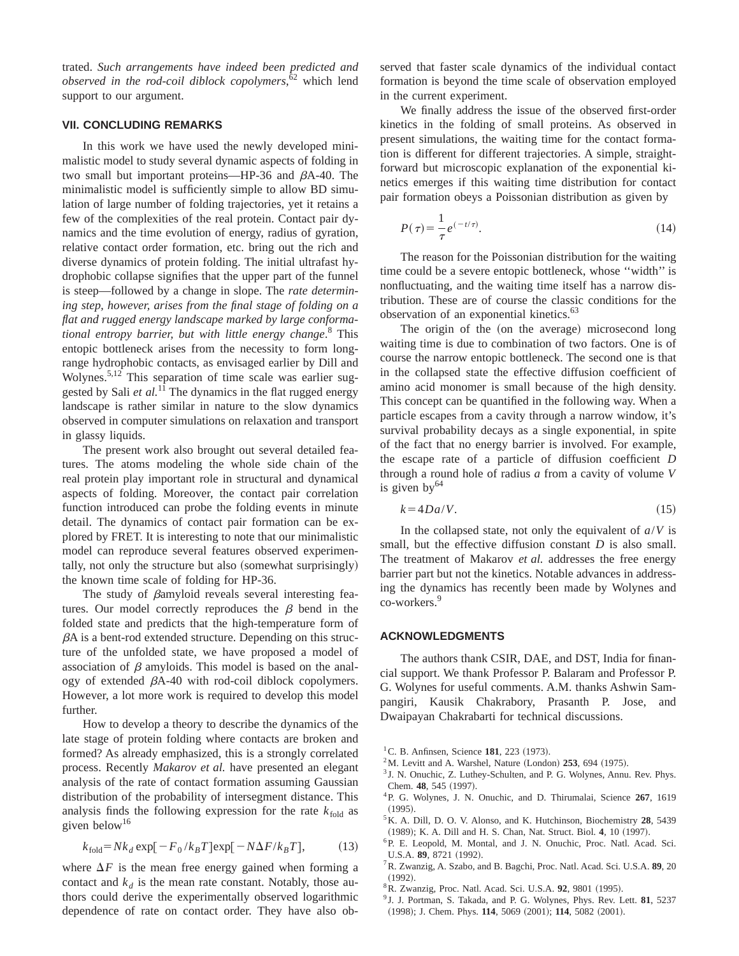trated. *Such arrangements have indeed been predicted and observed in the rod-coil diblock copolymers*, <sup>62</sup> which lend support to our argument.

# **VII. CONCLUDING REMARKS**

In this work we have used the newly developed minimalistic model to study several dynamic aspects of folding in two small but important proteins—HP-36 and  $\beta$ A-40. The minimalistic model is sufficiently simple to allow BD simulation of large number of folding trajectories, yet it retains a few of the complexities of the real protein. Contact pair dynamics and the time evolution of energy, radius of gyration, relative contact order formation, etc. bring out the rich and diverse dynamics of protein folding. The initial ultrafast hydrophobic collapse signifies that the upper part of the funnel is steep—followed by a change in slope. The *rate determining step, however, arises from the final stage of folding on a flat and rugged energy landscape marked by large conformational entropy barrier, but with little energy change*. <sup>8</sup> This entopic bottleneck arises from the necessity to form longrange hydrophobic contacts, as envisaged earlier by Dill and Wolynes.<sup>5,12</sup> This separation of time scale was earlier suggested by Sali *et al.*<sup>11</sup> The dynamics in the flat rugged energy landscape is rather similar in nature to the slow dynamics observed in computer simulations on relaxation and transport in glassy liquids.

The present work also brought out several detailed features. The atoms modeling the whole side chain of the real protein play important role in structural and dynamical aspects of folding. Moreover, the contact pair correlation function introduced can probe the folding events in minute detail. The dynamics of contact pair formation can be explored by FRET. It is interesting to note that our minimalistic model can reproduce several features observed experimentally, not only the structure but also  $(somewhat surprisingly)$ the known time scale of folding for HP-36.

The study of  $\beta$ amyloid reveals several interesting features. Our model correctly reproduces the  $\beta$  bend in the folded state and predicts that the high-temperature form of  $\beta$ A is a bent-rod extended structure. Depending on this structure of the unfolded state, we have proposed a model of association of  $\beta$  amyloids. This model is based on the analogy of extended  $\beta$ A-40 with rod-coil diblock copolymers. However, a lot more work is required to develop this model further.

How to develop a theory to describe the dynamics of the late stage of protein folding where contacts are broken and formed? As already emphasized, this is a strongly correlated process. Recently *Makarov et al.* have presented an elegant analysis of the rate of contact formation assuming Gaussian distribution of the probability of intersegment distance. This analysis finds the following expression for the rate  $k_{\text{fold}}$  as given below<sup>16</sup>

$$
k_{\text{fold}} = Nk_d \exp[-F_0/k_B T] \exp[-N\Delta F/k_B T], \tag{13}
$$

where  $\Delta F$  is the mean free energy gained when forming a contact and  $k_d$  is the mean rate constant. Notably, those authors could derive the experimentally observed logarithmic dependence of rate on contact order. They have also observed that faster scale dynamics of the individual contact formation is beyond the time scale of observation employed in the current experiment.

We finally address the issue of the observed first-order kinetics in the folding of small proteins. As observed in present simulations, the waiting time for the contact formation is different for different trajectories. A simple, straightforward but microscopic explanation of the exponential kinetics emerges if this waiting time distribution for contact pair formation obeys a Poissonian distribution as given by

$$
P(\tau) = \frac{1}{\tau} e^{(-t/\tau)}.
$$
\n(14)

The reason for the Poissonian distribution for the waiting time could be a severe entopic bottleneck, whose ''width'' is nonfluctuating, and the waiting time itself has a narrow distribution. These are of course the classic conditions for the observation of an exponential kinetics.<sup>63</sup>

The origin of the (on the average) microsecond long waiting time is due to combination of two factors. One is of course the narrow entopic bottleneck. The second one is that in the collapsed state the effective diffusion coefficient of amino acid monomer is small because of the high density. This concept can be quantified in the following way. When a particle escapes from a cavity through a narrow window, it's survival probability decays as a single exponential, in spite of the fact that no energy barrier is involved. For example, the escape rate of a particle of diffusion coefficient *D* through a round hole of radius *a* from a cavity of volume *V* is given  $bv^{64}$ 

$$
k = 4Da/V. \tag{15}
$$

In the collapsed state, not only the equivalent of *a*/*V* is small, but the effective diffusion constant *D* is also small. The treatment of Makarov *et al.* addresses the free energy barrier part but not the kinetics. Notable advances in addressing the dynamics has recently been made by Wolynes and co-workers.9

## **ACKNOWLEDGMENTS**

The authors thank CSIR, DAE, and DST, India for financial support. We thank Professor P. Balaram and Professor P. G. Wolynes for useful comments. A.M. thanks Ashwin Sampangiri, Kausik Chakrabory, Prasanth P. Jose, and Dwaipayan Chakrabarti for technical discussions.

- ${}^{1}$ C. B. Anfinsen, Science **181**, 223 (1973).
- $2^2$ M. Levitt and A. Warshel, Nature (London)  $253$ , 694 (1975).
- <sup>3</sup> J. N. Onuchic, Z. Luthey-Schulten, and P. G. Wolynes, Annu. Rev. Phys. Chem. 48, 545 (1997).
- 4P. G. Wolynes, J. N. Onuchic, and D. Thirumalai, Science **267**, 1619  $(1995)$
- 5K. A. Dill, D. O. V. Alonso, and K. Hutchinson, Biochemistry **28**, 5439 (1989); K. A. Dill and H. S. Chan, Nat. Struct. Biol. 4, 10 (1997).
- 6P. E. Leopold, M. Montal, and J. N. Onuchic, Proc. Natl. Acad. Sci. U.S.A. 89, 8721 (1992).
- 7R. Zwanzig, A. Szabo, and B. Bagchi, Proc. Natl. Acad. Sci. U.S.A. **89**, 20  $(1992).$
- <sup>8</sup> R. Zwanzig, Proc. Natl. Acad. Sci. U.S.A. 92, 9801 (1995).
- <sup>9</sup> J. J. Portman, S. Takada, and P. G. Wolynes, Phys. Rev. Lett. **81**, 5237
- (1998); J. Chem. Phys. 114, 5069 (2001); 114, 5082 (2001).